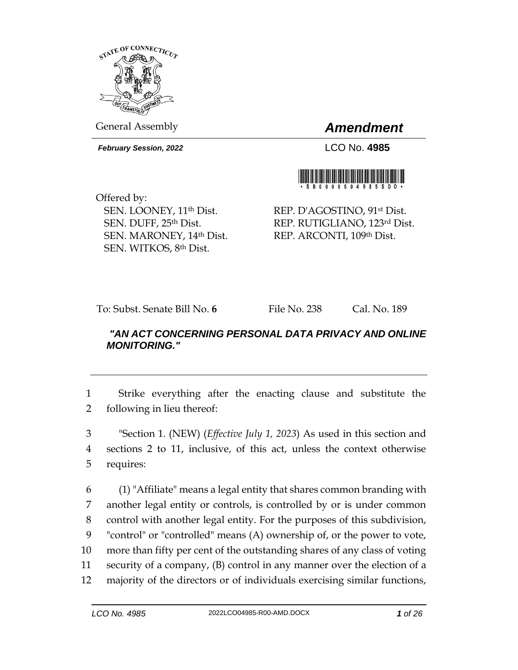

General Assembly *Amendment*

*February Session, 2022* LCO No. **4985**



Offered by: SEN. LOONEY, 11th Dist. SEN. DUFF, 25th Dist. SEN. MARONEY, 14th Dist. SEN. WITKOS, 8th Dist.

REP. D'AGOSTINO, 91st Dist. REP. RUTIGLIANO, 123rd Dist. REP. ARCONTI, 109th Dist.

To: Subst. Senate Bill No. **6** File No. 238 Cal. No. 189

## *"AN ACT CONCERNING PERSONAL DATA PRIVACY AND ONLINE MONITORING."*

1 Strike everything after the enacting clause and substitute the 2 following in lieu thereof:

3 "Section 1. (NEW) (*Effective July 1, 2023*) As used in this section and 4 sections 2 to 11, inclusive, of this act, unless the context otherwise 5 requires:

 (1) "Affiliate" means a legal entity that shares common branding with another legal entity or controls, is controlled by or is under common control with another legal entity. For the purposes of this subdivision, "control" or "controlled" means (A) ownership of, or the power to vote, more than fifty per cent of the outstanding shares of any class of voting security of a company, (B) control in any manner over the election of a majority of the directors or of individuals exercising similar functions,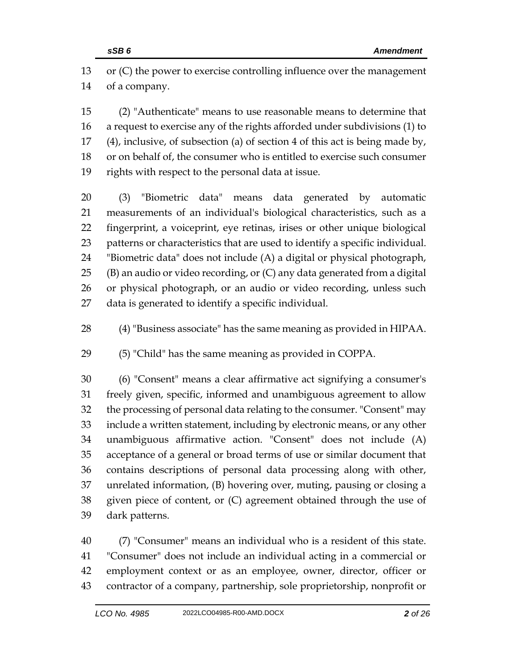or (C) the power to exercise controlling influence over the management of a company.

 (2) "Authenticate" means to use reasonable means to determine that a request to exercise any of the rights afforded under subdivisions (1) to (4), inclusive, of subsection (a) of section 4 of this act is being made by, or on behalf of, the consumer who is entitled to exercise such consumer rights with respect to the personal data at issue.

 (3) "Biometric data" means data generated by automatic measurements of an individual's biological characteristics, such as a fingerprint, a voiceprint, eye retinas, irises or other unique biological patterns or characteristics that are used to identify a specific individual. "Biometric data" does not include (A) a digital or physical photograph, (B) an audio or video recording, or (C) any data generated from a digital or physical photograph, or an audio or video recording, unless such data is generated to identify a specific individual.

(4) "Business associate" has the same meaning as provided in HIPAA.

(5) "Child" has the same meaning as provided in COPPA.

 (6) "Consent" means a clear affirmative act signifying a consumer's freely given, specific, informed and unambiguous agreement to allow the processing of personal data relating to the consumer. "Consent" may include a written statement, including by electronic means, or any other unambiguous affirmative action. "Consent" does not include (A) acceptance of a general or broad terms of use or similar document that contains descriptions of personal data processing along with other, unrelated information, (B) hovering over, muting, pausing or closing a given piece of content, or (C) agreement obtained through the use of dark patterns.

 (7) "Consumer" means an individual who is a resident of this state. "Consumer" does not include an individual acting in a commercial or employment context or as an employee, owner, director, officer or contractor of a company, partnership, sole proprietorship, nonprofit or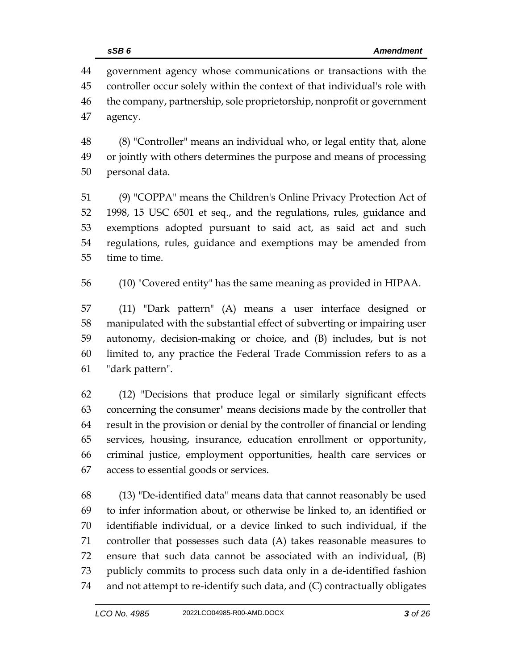government agency whose communications or transactions with the controller occur solely within the context of that individual's role with the company, partnership, sole proprietorship, nonprofit or government agency.

 (8) "Controller" means an individual who, or legal entity that, alone or jointly with others determines the purpose and means of processing personal data.

 (9) "COPPA" means the Children's Online Privacy Protection Act of 1998, 15 USC 6501 et seq., and the regulations, rules, guidance and exemptions adopted pursuant to said act, as said act and such regulations, rules, guidance and exemptions may be amended from time to time.

(10) "Covered entity" has the same meaning as provided in HIPAA.

 (11) "Dark pattern" (A) means a user interface designed or manipulated with the substantial effect of subverting or impairing user autonomy, decision-making or choice, and (B) includes, but is not limited to, any practice the Federal Trade Commission refers to as a "dark pattern".

 (12) "Decisions that produce legal or similarly significant effects concerning the consumer" means decisions made by the controller that result in the provision or denial by the controller of financial or lending services, housing, insurance, education enrollment or opportunity, criminal justice, employment opportunities, health care services or access to essential goods or services.

 (13) "De-identified data" means data that cannot reasonably be used to infer information about, or otherwise be linked to, an identified or identifiable individual, or a device linked to such individual, if the controller that possesses such data (A) takes reasonable measures to ensure that such data cannot be associated with an individual, (B) publicly commits to process such data only in a de-identified fashion and not attempt to re-identify such data, and (C) contractually obligates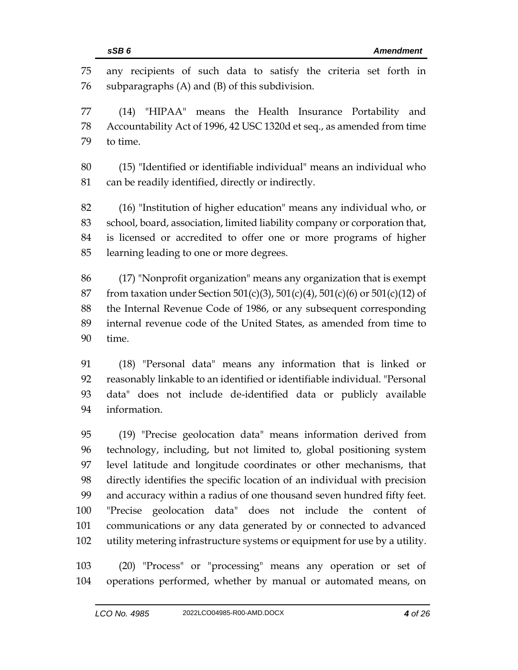information.

 any recipients of such data to satisfy the criteria set forth in subparagraphs (A) and (B) of this subdivision. (14) "HIPAA" means the Health Insurance Portability and Accountability Act of 1996, 42 USC 1320d et seq., as amended from time to time. (15) "Identified or identifiable individual" means an individual who 81 can be readily identified, directly or indirectly. (16) "Institution of higher education" means any individual who, or school, board, association, limited liability company or corporation that, is licensed or accredited to offer one or more programs of higher learning leading to one or more degrees. (17) "Nonprofit organization" means any organization that is exempt 87 from taxation under Section 501(c)(3), 501(c)(4), 501(c)(6) or 501(c)(12) of the Internal Revenue Code of 1986, or any subsequent corresponding internal revenue code of the United States, as amended from time to time. (18) "Personal data" means any information that is linked or reasonably linkable to an identified or identifiable individual. "Personal data" does not include de-identified data or publicly available

 (19) "Precise geolocation data" means information derived from technology, including, but not limited to, global positioning system level latitude and longitude coordinates or other mechanisms, that directly identifies the specific location of an individual with precision and accuracy within a radius of one thousand seven hundred fifty feet. "Precise geolocation data" does not include the content of communications or any data generated by or connected to advanced utility metering infrastructure systems or equipment for use by a utility.

 (20) "Process" or "processing" means any operation or set of operations performed, whether by manual or automated means, on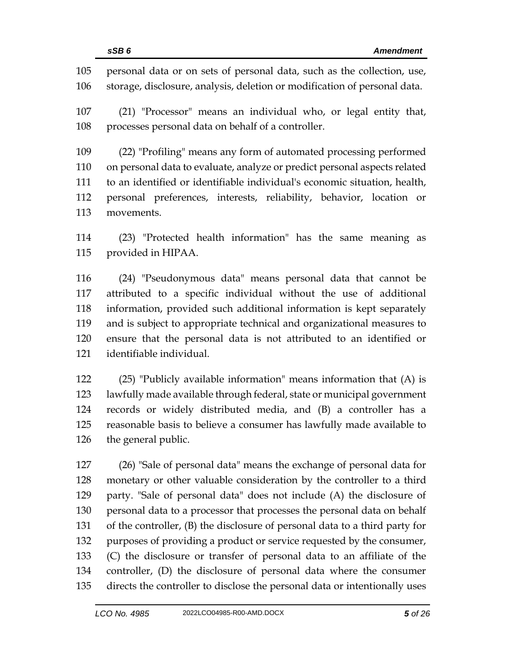personal data or on sets of personal data, such as the collection, use, storage, disclosure, analysis, deletion or modification of personal data.

 (21) "Processor" means an individual who, or legal entity that, processes personal data on behalf of a controller.

 (22) "Profiling" means any form of automated processing performed on personal data to evaluate, analyze or predict personal aspects related to an identified or identifiable individual's economic situation, health, personal preferences, interests, reliability, behavior, location or movements.

 (23) "Protected health information" has the same meaning as provided in HIPAA.

 (24) "Pseudonymous data" means personal data that cannot be attributed to a specific individual without the use of additional information, provided such additional information is kept separately and is subject to appropriate technical and organizational measures to ensure that the personal data is not attributed to an identified or identifiable individual.

 (25) "Publicly available information" means information that (A) is lawfully made available through federal, state or municipal government records or widely distributed media, and (B) a controller has a reasonable basis to believe a consumer has lawfully made available to the general public.

 (26) "Sale of personal data" means the exchange of personal data for monetary or other valuable consideration by the controller to a third party. "Sale of personal data" does not include (A) the disclosure of personal data to a processor that processes the personal data on behalf of the controller, (B) the disclosure of personal data to a third party for purposes of providing a product or service requested by the consumer, (C) the disclosure or transfer of personal data to an affiliate of the controller, (D) the disclosure of personal data where the consumer directs the controller to disclose the personal data or intentionally uses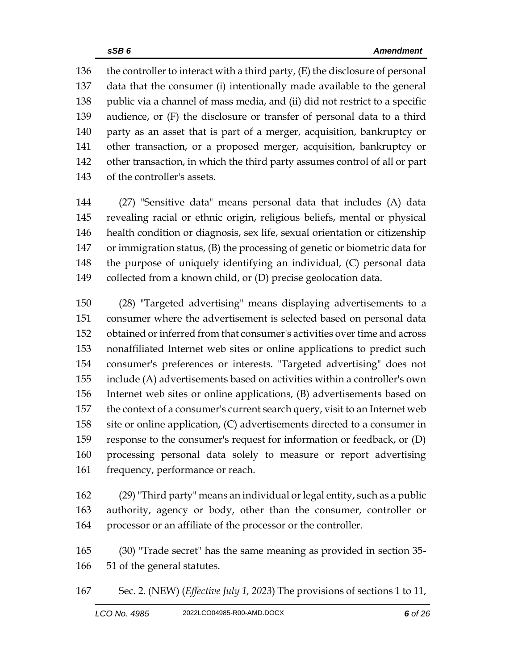136 the controller to interact with a third party, (E) the disclosure of personal data that the consumer (i) intentionally made available to the general public via a channel of mass media, and (ii) did not restrict to a specific audience, or (F) the disclosure or transfer of personal data to a third party as an asset that is part of a merger, acquisition, bankruptcy or other transaction, or a proposed merger, acquisition, bankruptcy or other transaction, in which the third party assumes control of all or part of the controller's assets.

 (27) "Sensitive data" means personal data that includes (A) data revealing racial or ethnic origin, religious beliefs, mental or physical health condition or diagnosis, sex life, sexual orientation or citizenship or immigration status, (B) the processing of genetic or biometric data for the purpose of uniquely identifying an individual, (C) personal data collected from a known child, or (D) precise geolocation data.

 (28) "Targeted advertising" means displaying advertisements to a consumer where the advertisement is selected based on personal data obtained or inferred from that consumer's activities over time and across nonaffiliated Internet web sites or online applications to predict such consumer's preferences or interests. "Targeted advertising" does not include (A) advertisements based on activities within a controller's own Internet web sites or online applications, (B) advertisements based on the context of a consumer's current search query, visit to an Internet web site or online application, (C) advertisements directed to a consumer in response to the consumer's request for information or feedback, or (D) processing personal data solely to measure or report advertising 161 frequency, performance or reach.

 (29) "Third party" means an individual or legal entity, such as a public authority, agency or body, other than the consumer, controller or processor or an affiliate of the processor or the controller.

 (30) "Trade secret" has the same meaning as provided in section 35- 51 of the general statutes.

Sec. 2. (NEW) (*Effective July 1, 2023*) The provisions of sections 1 to 11,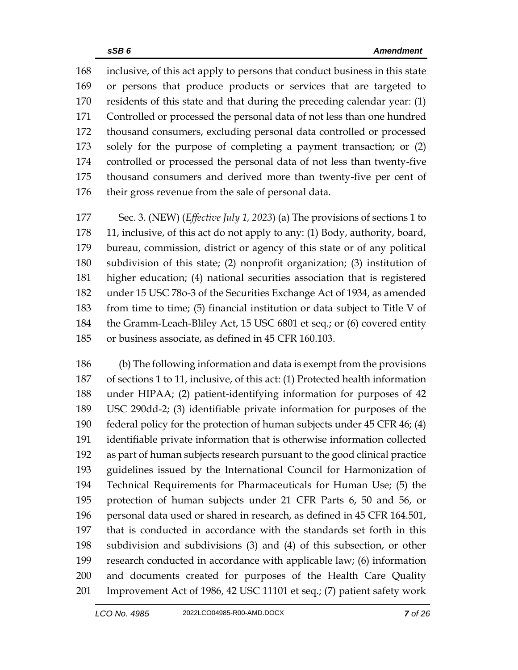inclusive, of this act apply to persons that conduct business in this state or persons that produce products or services that are targeted to residents of this state and that during the preceding calendar year: (1) Controlled or processed the personal data of not less than one hundred thousand consumers, excluding personal data controlled or processed solely for the purpose of completing a payment transaction; or (2) controlled or processed the personal data of not less than twenty-five thousand consumers and derived more than twenty-five per cent of their gross revenue from the sale of personal data.

 Sec. 3. (NEW) (*Effective July 1, 2023*) (a) The provisions of sections 1 to 11, inclusive, of this act do not apply to any: (1) Body, authority, board, bureau, commission, district or agency of this state or of any political subdivision of this state; (2) nonprofit organization; (3) institution of higher education; (4) national securities association that is registered under 15 USC 78o-3 of the Securities Exchange Act of 1934, as amended from time to time; (5) financial institution or data subject to Title V of the Gramm-Leach-Bliley Act, 15 USC 6801 et seq.; or (6) covered entity or business associate, as defined in 45 CFR 160.103.

 (b) The following information and data is exempt from the provisions of sections 1 to 11, inclusive, of this act: (1) Protected health information under HIPAA; (2) patient-identifying information for purposes of 42 USC 290dd-2; (3) identifiable private information for purposes of the federal policy for the protection of human subjects under 45 CFR 46; (4) identifiable private information that is otherwise information collected as part of human subjects research pursuant to the good clinical practice guidelines issued by the International Council for Harmonization of Technical Requirements for Pharmaceuticals for Human Use; (5) the protection of human subjects under 21 CFR Parts 6, 50 and 56, or personal data used or shared in research, as defined in 45 CFR 164.501, that is conducted in accordance with the standards set forth in this subdivision and subdivisions (3) and (4) of this subsection, or other research conducted in accordance with applicable law; (6) information and documents created for purposes of the Health Care Quality Improvement Act of 1986, 42 USC 11101 et seq.; (7) patient safety work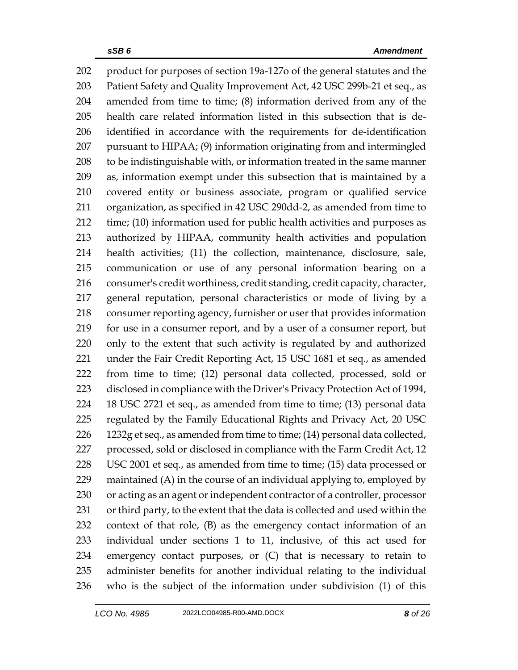product for purposes of section 19a-127o of the general statutes and the Patient Safety and Quality Improvement Act, 42 USC 299b-21 et seq., as amended from time to time; (8) information derived from any of the health care related information listed in this subsection that is de- identified in accordance with the requirements for de-identification pursuant to HIPAA; (9) information originating from and intermingled to be indistinguishable with, or information treated in the same manner as, information exempt under this subsection that is maintained by a covered entity or business associate, program or qualified service organization, as specified in 42 USC 290dd-2, as amended from time to time; (10) information used for public health activities and purposes as authorized by HIPAA, community health activities and population health activities; (11) the collection, maintenance, disclosure, sale, communication or use of any personal information bearing on a consumer's credit worthiness, credit standing, credit capacity, character, general reputation, personal characteristics or mode of living by a consumer reporting agency, furnisher or user that provides information for use in a consumer report, and by a user of a consumer report, but only to the extent that such activity is regulated by and authorized under the Fair Credit Reporting Act, 15 USC 1681 et seq., as amended from time to time; (12) personal data collected, processed, sold or disclosed in compliance with the Driver's Privacy Protection Act of 1994, 18 USC 2721 et seq., as amended from time to time; (13) personal data regulated by the Family Educational Rights and Privacy Act, 20 USC 1232g et seq., as amended from time to time; (14) personal data collected, processed, sold or disclosed in compliance with the Farm Credit Act, 12 USC 2001 et seq., as amended from time to time; (15) data processed or maintained (A) in the course of an individual applying to, employed by or acting as an agent or independent contractor of a controller, processor or third party, to the extent that the data is collected and used within the context of that role, (B) as the emergency contact information of an individual under sections 1 to 11, inclusive, of this act used for emergency contact purposes, or (C) that is necessary to retain to administer benefits for another individual relating to the individual who is the subject of the information under subdivision (1) of this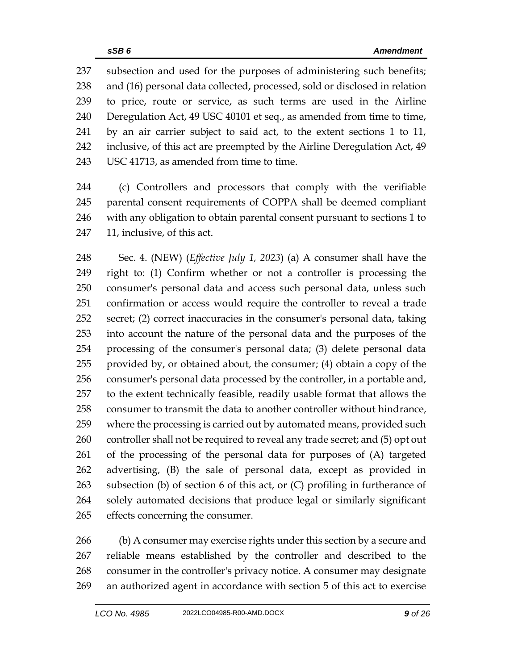subsection and used for the purposes of administering such benefits; and (16) personal data collected, processed, sold or disclosed in relation to price, route or service, as such terms are used in the Airline Deregulation Act, 49 USC 40101 et seq., as amended from time to time, by an air carrier subject to said act, to the extent sections 1 to 11, inclusive, of this act are preempted by the Airline Deregulation Act, 49 USC 41713, as amended from time to time.

 (c) Controllers and processors that comply with the verifiable parental consent requirements of COPPA shall be deemed compliant with any obligation to obtain parental consent pursuant to sections 1 to 11, inclusive, of this act.

 Sec. 4. (NEW) (*Effective July 1, 2023*) (a) A consumer shall have the right to: (1) Confirm whether or not a controller is processing the consumer's personal data and access such personal data, unless such confirmation or access would require the controller to reveal a trade secret; (2) correct inaccuracies in the consumer's personal data, taking into account the nature of the personal data and the purposes of the processing of the consumer's personal data; (3) delete personal data provided by, or obtained about, the consumer; (4) obtain a copy of the consumer's personal data processed by the controller, in a portable and, to the extent technically feasible, readily usable format that allows the consumer to transmit the data to another controller without hindrance, where the processing is carried out by automated means, provided such controller shall not be required to reveal any trade secret; and (5) opt out of the processing of the personal data for purposes of (A) targeted advertising, (B) the sale of personal data, except as provided in subsection (b) of section 6 of this act, or (C) profiling in furtherance of solely automated decisions that produce legal or similarly significant effects concerning the consumer.

 (b) A consumer may exercise rights under this section by a secure and reliable means established by the controller and described to the consumer in the controller's privacy notice. A consumer may designate an authorized agent in accordance with section 5 of this act to exercise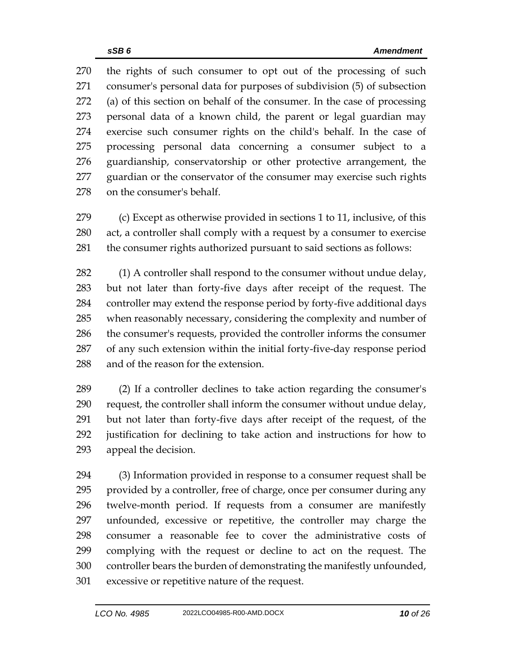the rights of such consumer to opt out of the processing of such consumer's personal data for purposes of subdivision (5) of subsection (a) of this section on behalf of the consumer. In the case of processing personal data of a known child, the parent or legal guardian may exercise such consumer rights on the child's behalf. In the case of processing personal data concerning a consumer subject to a guardianship, conservatorship or other protective arrangement, the guardian or the conservator of the consumer may exercise such rights on the consumer's behalf.

 (c) Except as otherwise provided in sections 1 to 11, inclusive, of this act, a controller shall comply with a request by a consumer to exercise the consumer rights authorized pursuant to said sections as follows:

 (1) A controller shall respond to the consumer without undue delay, but not later than forty-five days after receipt of the request. The controller may extend the response period by forty-five additional days when reasonably necessary, considering the complexity and number of the consumer's requests, provided the controller informs the consumer of any such extension within the initial forty-five-day response period and of the reason for the extension.

 (2) If a controller declines to take action regarding the consumer's request, the controller shall inform the consumer without undue delay, but not later than forty-five days after receipt of the request, of the justification for declining to take action and instructions for how to appeal the decision.

 (3) Information provided in response to a consumer request shall be provided by a controller, free of charge, once per consumer during any twelve-month period. If requests from a consumer are manifestly unfounded, excessive or repetitive, the controller may charge the consumer a reasonable fee to cover the administrative costs of complying with the request or decline to act on the request. The controller bears the burden of demonstrating the manifestly unfounded, excessive or repetitive nature of the request.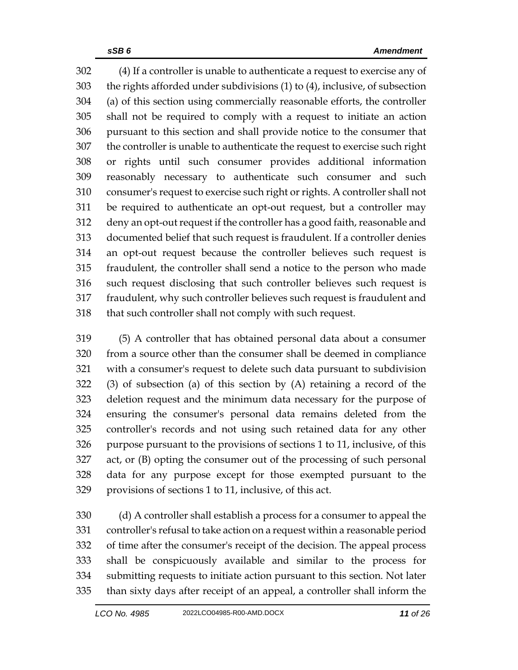(4) If a controller is unable to authenticate a request to exercise any of the rights afforded under subdivisions (1) to (4), inclusive, of subsection (a) of this section using commercially reasonable efforts, the controller shall not be required to comply with a request to initiate an action pursuant to this section and shall provide notice to the consumer that the controller is unable to authenticate the request to exercise such right or rights until such consumer provides additional information reasonably necessary to authenticate such consumer and such consumer's request to exercise such right or rights. A controller shall not be required to authenticate an opt-out request, but a controller may deny an opt-out request if the controller has a good faith, reasonable and documented belief that such request is fraudulent. If a controller denies an opt-out request because the controller believes such request is fraudulent, the controller shall send a notice to the person who made such request disclosing that such controller believes such request is fraudulent, why such controller believes such request is fraudulent and that such controller shall not comply with such request.

 (5) A controller that has obtained personal data about a consumer from a source other than the consumer shall be deemed in compliance with a consumer's request to delete such data pursuant to subdivision (3) of subsection (a) of this section by (A) retaining a record of the deletion request and the minimum data necessary for the purpose of ensuring the consumer's personal data remains deleted from the controller's records and not using such retained data for any other purpose pursuant to the provisions of sections 1 to 11, inclusive, of this act, or (B) opting the consumer out of the processing of such personal data for any purpose except for those exempted pursuant to the provisions of sections 1 to 11, inclusive, of this act.

 (d) A controller shall establish a process for a consumer to appeal the controller's refusal to take action on a request within a reasonable period of time after the consumer's receipt of the decision. The appeal process shall be conspicuously available and similar to the process for submitting requests to initiate action pursuant to this section. Not later than sixty days after receipt of an appeal, a controller shall inform the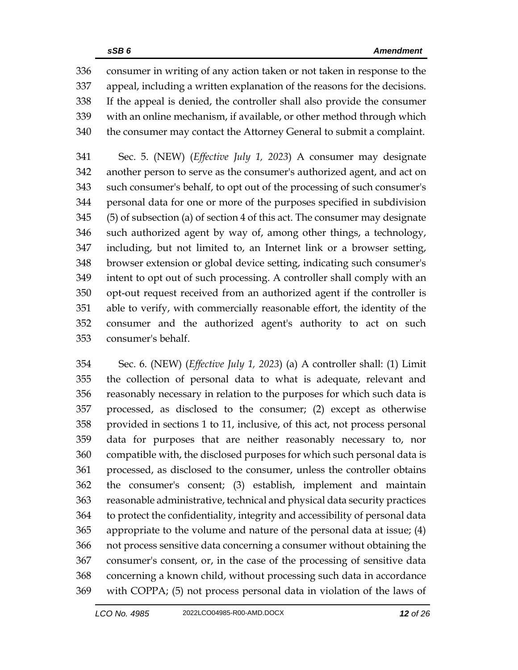consumer in writing of any action taken or not taken in response to the appeal, including a written explanation of the reasons for the decisions. If the appeal is denied, the controller shall also provide the consumer with an online mechanism, if available, or other method through which the consumer may contact the Attorney General to submit a complaint.

 Sec. 5. (NEW) (*Effective July 1, 2023*) A consumer may designate another person to serve as the consumer's authorized agent, and act on such consumer's behalf, to opt out of the processing of such consumer's personal data for one or more of the purposes specified in subdivision (5) of subsection (a) of section 4 of this act. The consumer may designate such authorized agent by way of, among other things, a technology, including, but not limited to, an Internet link or a browser setting, browser extension or global device setting, indicating such consumer's intent to opt out of such processing. A controller shall comply with an opt-out request received from an authorized agent if the controller is able to verify, with commercially reasonable effort, the identity of the consumer and the authorized agent's authority to act on such consumer's behalf.

 Sec. 6. (NEW) (*Effective July 1, 2023*) (a) A controller shall: (1) Limit the collection of personal data to what is adequate, relevant and reasonably necessary in relation to the purposes for which such data is processed, as disclosed to the consumer; (2) except as otherwise provided in sections 1 to 11, inclusive, of this act, not process personal data for purposes that are neither reasonably necessary to, nor compatible with, the disclosed purposes for which such personal data is processed, as disclosed to the consumer, unless the controller obtains the consumer's consent; (3) establish, implement and maintain reasonable administrative, technical and physical data security practices to protect the confidentiality, integrity and accessibility of personal data appropriate to the volume and nature of the personal data at issue; (4) not process sensitive data concerning a consumer without obtaining the consumer's consent, or, in the case of the processing of sensitive data concerning a known child, without processing such data in accordance with COPPA; (5) not process personal data in violation of the laws of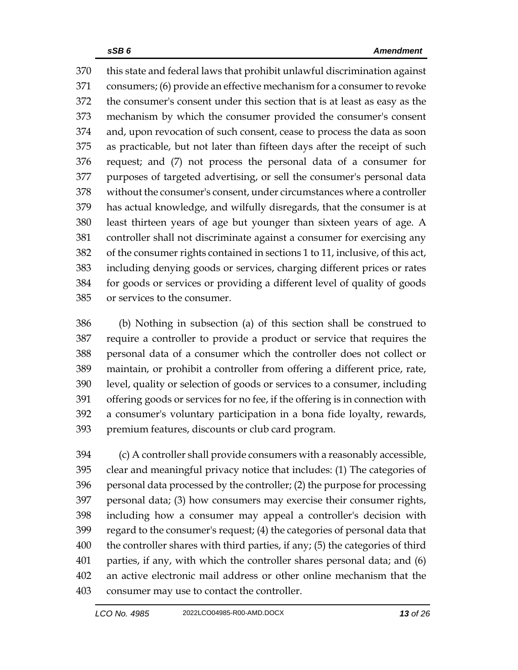this state and federal laws that prohibit unlawful discrimination against consumers; (6) provide an effective mechanism for a consumer to revoke the consumer's consent under this section that is at least as easy as the mechanism by which the consumer provided the consumer's consent and, upon revocation of such consent, cease to process the data as soon as practicable, but not later than fifteen days after the receipt of such request; and (7) not process the personal data of a consumer for purposes of targeted advertising, or sell the consumer's personal data without the consumer's consent, under circumstances where a controller has actual knowledge, and wilfully disregards, that the consumer is at least thirteen years of age but younger than sixteen years of age. A controller shall not discriminate against a consumer for exercising any of the consumer rights contained in sections 1 to 11, inclusive, of this act, including denying goods or services, charging different prices or rates for goods or services or providing a different level of quality of goods or services to the consumer.

 (b) Nothing in subsection (a) of this section shall be construed to require a controller to provide a product or service that requires the personal data of a consumer which the controller does not collect or maintain, or prohibit a controller from offering a different price, rate, level, quality or selection of goods or services to a consumer, including offering goods or services for no fee, if the offering is in connection with a consumer's voluntary participation in a bona fide loyalty, rewards, premium features, discounts or club card program.

 (c) A controller shall provide consumers with a reasonably accessible, clear and meaningful privacy notice that includes: (1) The categories of personal data processed by the controller; (2) the purpose for processing personal data; (3) how consumers may exercise their consumer rights, including how a consumer may appeal a controller's decision with regard to the consumer's request; (4) the categories of personal data that the controller shares with third parties, if any; (5) the categories of third parties, if any, with which the controller shares personal data; and (6) an active electronic mail address or other online mechanism that the consumer may use to contact the controller.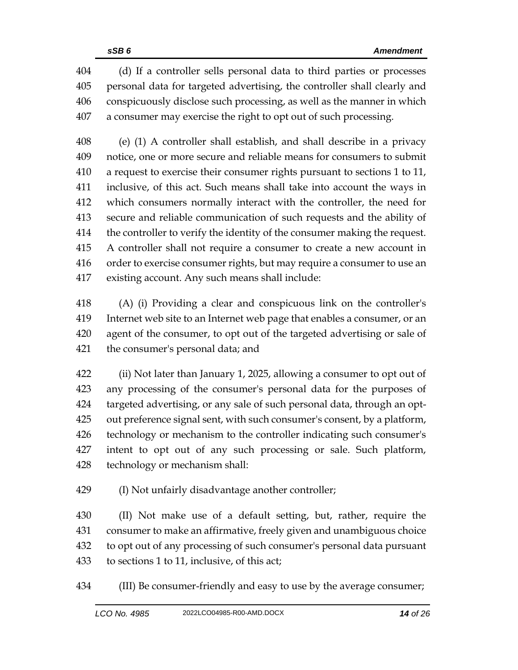(d) If a controller sells personal data to third parties or processes personal data for targeted advertising, the controller shall clearly and conspicuously disclose such processing, as well as the manner in which a consumer may exercise the right to opt out of such processing.

 (e) (1) A controller shall establish, and shall describe in a privacy notice, one or more secure and reliable means for consumers to submit a request to exercise their consumer rights pursuant to sections 1 to 11, inclusive, of this act. Such means shall take into account the ways in which consumers normally interact with the controller, the need for secure and reliable communication of such requests and the ability of the controller to verify the identity of the consumer making the request. A controller shall not require a consumer to create a new account in order to exercise consumer rights, but may require a consumer to use an existing account. Any such means shall include:

 (A) (i) Providing a clear and conspicuous link on the controller's Internet web site to an Internet web page that enables a consumer, or an agent of the consumer, to opt out of the targeted advertising or sale of the consumer's personal data; and

 (ii) Not later than January 1, 2025, allowing a consumer to opt out of any processing of the consumer's personal data for the purposes of targeted advertising, or any sale of such personal data, through an opt- out preference signal sent, with such consumer's consent, by a platform, technology or mechanism to the controller indicating such consumer's intent to opt out of any such processing or sale. Such platform, technology or mechanism shall:

(I) Not unfairly disadvantage another controller;

 (II) Not make use of a default setting, but, rather, require the consumer to make an affirmative, freely given and unambiguous choice to opt out of any processing of such consumer's personal data pursuant to sections 1 to 11, inclusive, of this act;

(III) Be consumer-friendly and easy to use by the average consumer;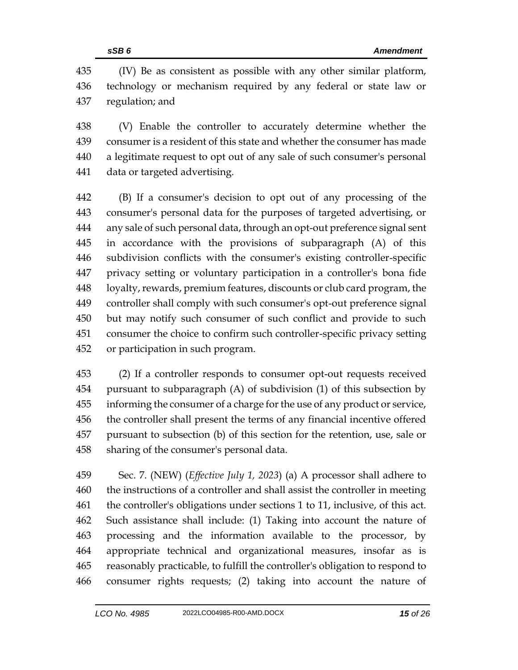(IV) Be as consistent as possible with any other similar platform, technology or mechanism required by any federal or state law or regulation; and

 (V) Enable the controller to accurately determine whether the consumer is a resident of this state and whether the consumer has made a legitimate request to opt out of any sale of such consumer's personal data or targeted advertising.

 (B) If a consumer's decision to opt out of any processing of the consumer's personal data for the purposes of targeted advertising, or any sale of such personal data, through an opt-out preference signal sent in accordance with the provisions of subparagraph (A) of this subdivision conflicts with the consumer's existing controller-specific privacy setting or voluntary participation in a controller's bona fide loyalty, rewards, premium features, discounts or club card program, the controller shall comply with such consumer's opt-out preference signal but may notify such consumer of such conflict and provide to such consumer the choice to confirm such controller-specific privacy setting or participation in such program.

 (2) If a controller responds to consumer opt‐out requests received pursuant to subparagraph (A) of subdivision (1) of this subsection by informing the consumer of a charge for the use of any product or service, the controller shall present the terms of any financial incentive offered pursuant to subsection (b) of this section for the retention, use, sale or sharing of the consumer's personal data.

 Sec. 7. (NEW) (*Effective July 1, 2023*) (a) A processor shall adhere to the instructions of a controller and shall assist the controller in meeting the controller's obligations under sections 1 to 11, inclusive, of this act. Such assistance shall include: (1) Taking into account the nature of processing and the information available to the processor, by appropriate technical and organizational measures, insofar as is reasonably practicable, to fulfill the controller's obligation to respond to consumer rights requests; (2) taking into account the nature of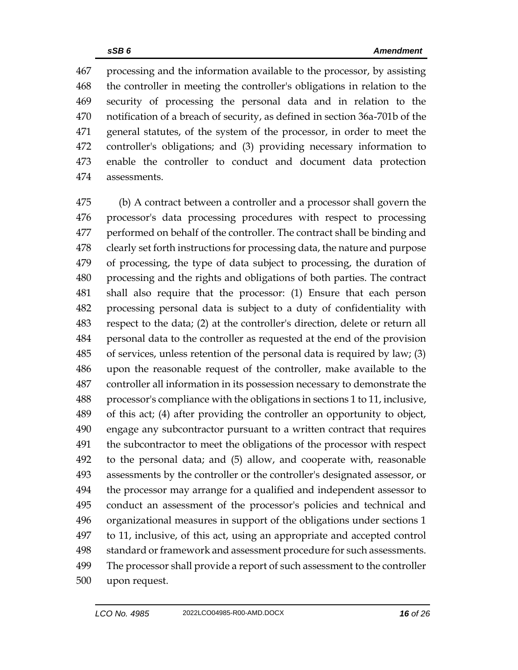processing and the information available to the processor, by assisting the controller in meeting the controller's obligations in relation to the security of processing the personal data and in relation to the notification of a breach of security, as defined in section 36a-701b of the general statutes, of the system of the processor, in order to meet the controller's obligations; and (3) providing necessary information to enable the controller to conduct and document data protection assessments.

 (b) A contract between a controller and a processor shall govern the processor's data processing procedures with respect to processing performed on behalf of the controller. The contract shall be binding and clearly set forth instructions for processing data, the nature and purpose of processing, the type of data subject to processing, the duration of processing and the rights and obligations of both parties. The contract shall also require that the processor: (1) Ensure that each person processing personal data is subject to a duty of confidentiality with respect to the data; (2) at the controller's direction, delete or return all personal data to the controller as requested at the end of the provision of services, unless retention of the personal data is required by law; (3) upon the reasonable request of the controller, make available to the controller all information in its possession necessary to demonstrate the processor's compliance with the obligations in sections 1 to 11, inclusive, of this act; (4) after providing the controller an opportunity to object, engage any subcontractor pursuant to a written contract that requires the subcontractor to meet the obligations of the processor with respect to the personal data; and (5) allow, and cooperate with, reasonable assessments by the controller or the controller's designated assessor, or the processor may arrange for a qualified and independent assessor to conduct an assessment of the processor's policies and technical and organizational measures in support of the obligations under sections 1 to 11, inclusive, of this act, using an appropriate and accepted control standard or framework and assessment procedure for such assessments. The processor shall provide a report of such assessment to the controller upon request.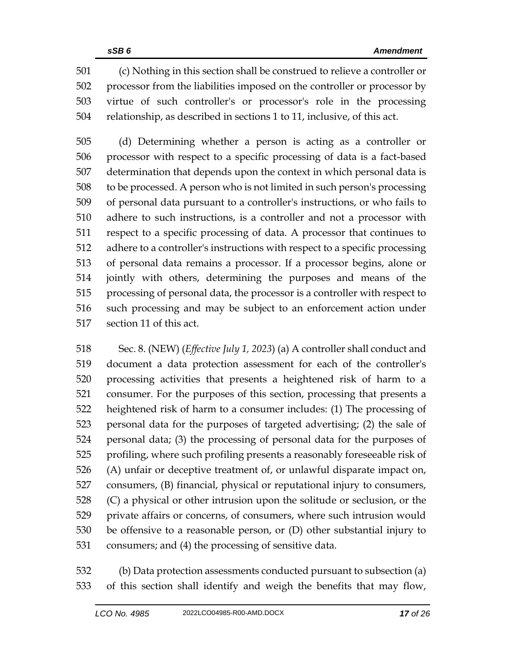(c) Nothing in this section shall be construed to relieve a controller or processor from the liabilities imposed on the controller or processor by virtue of such controller's or processor's role in the processing relationship, as described in sections 1 to 11, inclusive, of this act.

 (d) Determining whether a person is acting as a controller or processor with respect to a specific processing of data is a fact-based determination that depends upon the context in which personal data is to be processed. A person who is not limited in such person's processing of personal data pursuant to a controller's instructions, or who fails to adhere to such instructions, is a controller and not a processor with respect to a specific processing of data. A processor that continues to adhere to a controller's instructions with respect to a specific processing of personal data remains a processor. If a processor begins, alone or jointly with others, determining the purposes and means of the processing of personal data, the processor is a controller with respect to such processing and may be subject to an enforcement action under section 11 of this act.

 Sec. 8. (NEW) (*Effective July 1, 2023*) (a) A controller shall conduct and document a data protection assessment for each of the controller's processing activities that presents a heightened risk of harm to a consumer. For the purposes of this section, processing that presents a heightened risk of harm to a consumer includes: (1) The processing of personal data for the purposes of targeted advertising; (2) the sale of personal data; (3) the processing of personal data for the purposes of profiling, where such profiling presents a reasonably foreseeable risk of (A) unfair or deceptive treatment of, or unlawful disparate impact on, consumers, (B) financial, physical or reputational injury to consumers, (C) a physical or other intrusion upon the solitude or seclusion, or the private affairs or concerns, of consumers, where such intrusion would be offensive to a reasonable person, or (D) other substantial injury to consumers; and (4) the processing of sensitive data.

 (b) Data protection assessments conducted pursuant to subsection (a) of this section shall identify and weigh the benefits that may flow,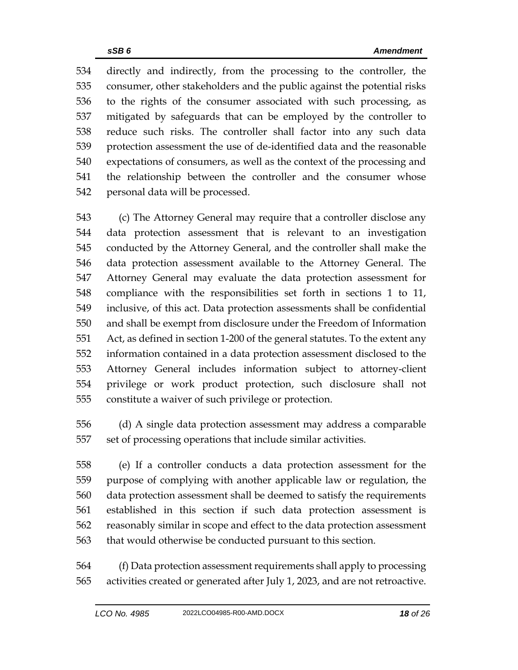directly and indirectly, from the processing to the controller, the consumer, other stakeholders and the public against the potential risks to the rights of the consumer associated with such processing, as mitigated by safeguards that can be employed by the controller to reduce such risks. The controller shall factor into any such data protection assessment the use of de-identified data and the reasonable expectations of consumers, as well as the context of the processing and the relationship between the controller and the consumer whose personal data will be processed.

 (c) The Attorney General may require that a controller disclose any data protection assessment that is relevant to an investigation conducted by the Attorney General, and the controller shall make the data protection assessment available to the Attorney General. The Attorney General may evaluate the data protection assessment for compliance with the responsibilities set forth in sections 1 to 11, inclusive, of this act. Data protection assessments shall be confidential and shall be exempt from disclosure under the Freedom of Information Act, as defined in section 1-200 of the general statutes. To the extent any information contained in a data protection assessment disclosed to the Attorney General includes information subject to attorney-client privilege or work product protection, such disclosure shall not constitute a waiver of such privilege or protection.

 (d) A single data protection assessment may address a comparable set of processing operations that include similar activities.

 (e) If a controller conducts a data protection assessment for the purpose of complying with another applicable law or regulation, the data protection assessment shall be deemed to satisfy the requirements established in this section if such data protection assessment is reasonably similar in scope and effect to the data protection assessment that would otherwise be conducted pursuant to this section.

 (f) Data protection assessment requirements shall apply to processing activities created or generated after July 1, 2023, and are not retroactive.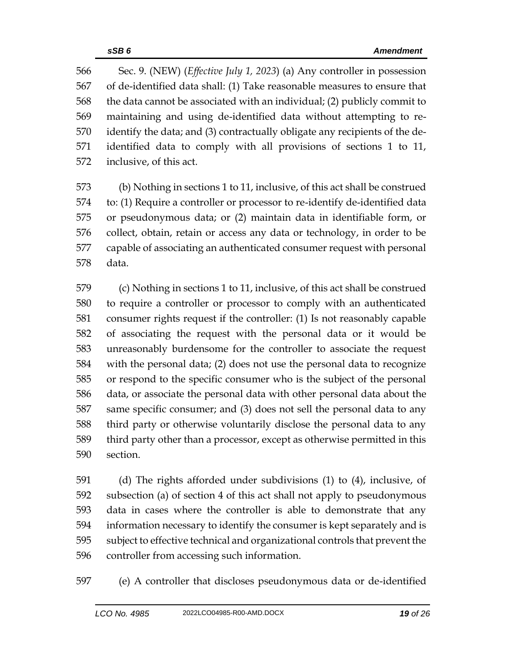Sec. 9. (NEW) (*Effective July 1, 2023*) (a) Any controller in possession of de-identified data shall: (1) Take reasonable measures to ensure that the data cannot be associated with an individual; (2) publicly commit to maintaining and using de-identified data without attempting to re- identify the data; and (3) contractually obligate any recipients of the de- identified data to comply with all provisions of sections 1 to 11, inclusive, of this act.

 (b) Nothing in sections 1 to 11, inclusive, of this act shall be construed to: (1) Require a controller or processor to re-identify de-identified data or pseudonymous data; or (2) maintain data in identifiable form, or collect, obtain, retain or access any data or technology, in order to be capable of associating an authenticated consumer request with personal data.

 (c) Nothing in sections 1 to 11, inclusive, of this act shall be construed to require a controller or processor to comply with an authenticated consumer rights request if the controller: (1) Is not reasonably capable of associating the request with the personal data or it would be unreasonably burdensome for the controller to associate the request with the personal data; (2) does not use the personal data to recognize or respond to the specific consumer who is the subject of the personal data, or associate the personal data with other personal data about the same specific consumer; and (3) does not sell the personal data to any third party or otherwise voluntarily disclose the personal data to any third party other than a processor, except as otherwise permitted in this section.

 (d) The rights afforded under subdivisions (1) to (4), inclusive, of subsection (a) of section 4 of this act shall not apply to pseudonymous data in cases where the controller is able to demonstrate that any information necessary to identify the consumer is kept separately and is subject to effective technical and organizational controls that prevent the controller from accessing such information.

(e) A controller that discloses pseudonymous data or de-identified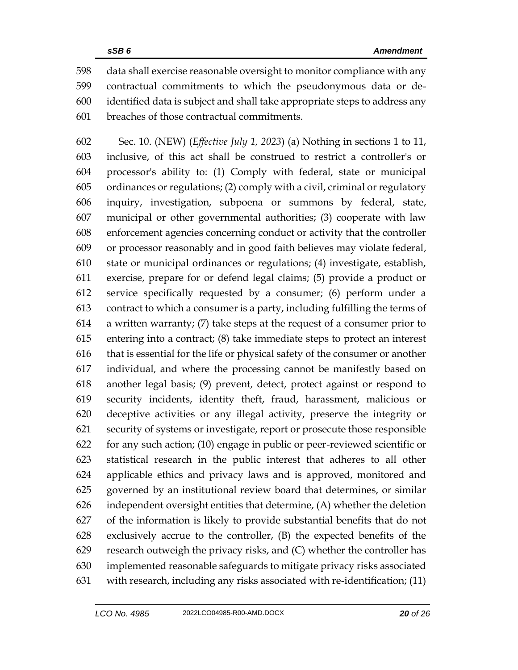data shall exercise reasonable oversight to monitor compliance with any contractual commitments to which the pseudonymous data or de- identified data is subject and shall take appropriate steps to address any breaches of those contractual commitments.

 Sec. 10. (NEW) (*Effective July 1, 2023*) (a) Nothing in sections 1 to 11, inclusive, of this act shall be construed to restrict a controller's or processor's ability to: (1) Comply with federal, state or municipal ordinances or regulations; (2) comply with a civil, criminal or regulatory inquiry, investigation, subpoena or summons by federal, state, municipal or other governmental authorities; (3) cooperate with law enforcement agencies concerning conduct or activity that the controller or processor reasonably and in good faith believes may violate federal, state or municipal ordinances or regulations; (4) investigate, establish, exercise, prepare for or defend legal claims; (5) provide a product or service specifically requested by a consumer; (6) perform under a contract to which a consumer is a party, including fulfilling the terms of a written warranty; (7) take steps at the request of a consumer prior to entering into a contract; (8) take immediate steps to protect an interest that is essential for the life or physical safety of the consumer or another individual, and where the processing cannot be manifestly based on another legal basis; (9) prevent, detect, protect against or respond to security incidents, identity theft, fraud, harassment, malicious or deceptive activities or any illegal activity, preserve the integrity or security of systems or investigate, report or prosecute those responsible for any such action; (10) engage in public or peer-reviewed scientific or statistical research in the public interest that adheres to all other applicable ethics and privacy laws and is approved, monitored and governed by an institutional review board that determines, or similar independent oversight entities that determine, (A) whether the deletion of the information is likely to provide substantial benefits that do not exclusively accrue to the controller, (B) the expected benefits of the research outweigh the privacy risks, and (C) whether the controller has implemented reasonable safeguards to mitigate privacy risks associated with research, including any risks associated with re-identification; (11)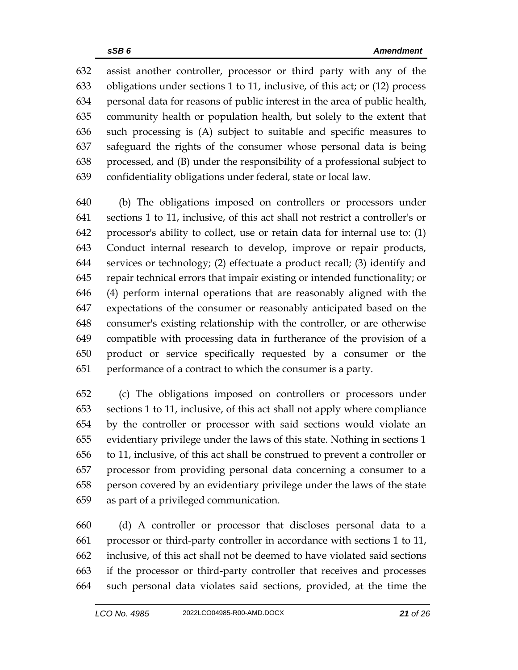assist another controller, processor or third party with any of the obligations under sections 1 to 11, inclusive, of this act; or (12) process personal data for reasons of public interest in the area of public health, community health or population health, but solely to the extent that such processing is (A) subject to suitable and specific measures to safeguard the rights of the consumer whose personal data is being processed, and (B) under the responsibility of a professional subject to confidentiality obligations under federal, state or local law.

 (b) The obligations imposed on controllers or processors under sections 1 to 11, inclusive, of this act shall not restrict a controller's or processor's ability to collect, use or retain data for internal use to: (1) Conduct internal research to develop, improve or repair products, services or technology; (2) effectuate a product recall; (3) identify and repair technical errors that impair existing or intended functionality; or (4) perform internal operations that are reasonably aligned with the expectations of the consumer or reasonably anticipated based on the consumer's existing relationship with the controller, or are otherwise compatible with processing data in furtherance of the provision of a product or service specifically requested by a consumer or the performance of a contract to which the consumer is a party.

 (c) The obligations imposed on controllers or processors under sections 1 to 11, inclusive, of this act shall not apply where compliance by the controller or processor with said sections would violate an evidentiary privilege under the laws of this state. Nothing in sections 1 to 11, inclusive, of this act shall be construed to prevent a controller or processor from providing personal data concerning a consumer to a person covered by an evidentiary privilege under the laws of the state as part of a privileged communication.

 (d) A controller or processor that discloses personal data to a processor or third-party controller in accordance with sections 1 to 11, inclusive, of this act shall not be deemed to have violated said sections if the processor or third-party controller that receives and processes such personal data violates said sections, provided, at the time the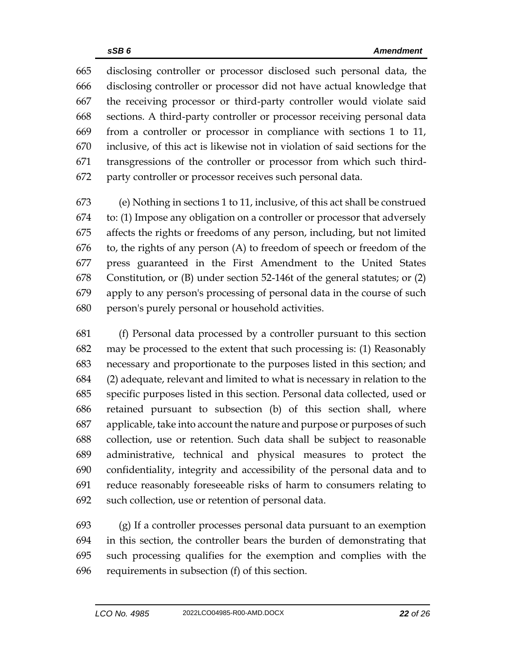disclosing controller or processor disclosed such personal data, the disclosing controller or processor did not have actual knowledge that the receiving processor or third-party controller would violate said sections. A third-party controller or processor receiving personal data from a controller or processor in compliance with sections 1 to 11, inclusive, of this act is likewise not in violation of said sections for the transgressions of the controller or processor from which such third-party controller or processor receives such personal data.

 (e) Nothing in sections 1 to 11, inclusive, of this act shall be construed to: (1) Impose any obligation on a controller or processor that adversely affects the rights or freedoms of any person, including, but not limited to, the rights of any person (A) to freedom of speech or freedom of the press guaranteed in the First Amendment to the United States Constitution, or (B) under section 52-146t of the general statutes; or (2) apply to any person's processing of personal data in the course of such person's purely personal or household activities.

 (f) Personal data processed by a controller pursuant to this section may be processed to the extent that such processing is: (1) Reasonably necessary and proportionate to the purposes listed in this section; and (2) adequate, relevant and limited to what is necessary in relation to the specific purposes listed in this section. Personal data collected, used or retained pursuant to subsection (b) of this section shall, where applicable, take into account the nature and purpose or purposes of such collection, use or retention. Such data shall be subject to reasonable administrative, technical and physical measures to protect the confidentiality, integrity and accessibility of the personal data and to reduce reasonably foreseeable risks of harm to consumers relating to such collection, use or retention of personal data.

 (g) If a controller processes personal data pursuant to an exemption in this section, the controller bears the burden of demonstrating that such processing qualifies for the exemption and complies with the requirements in subsection (f) of this section.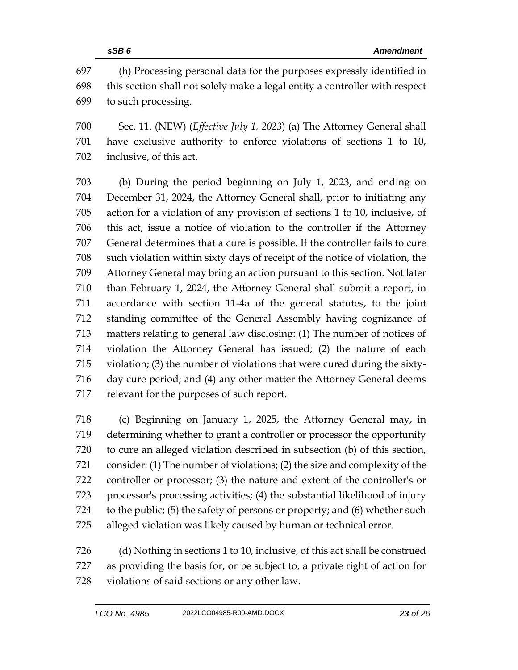(h) Processing personal data for the purposes expressly identified in this section shall not solely make a legal entity a controller with respect to such processing.

 Sec. 11. (NEW) (*Effective July 1, 2023*) (a) The Attorney General shall have exclusive authority to enforce violations of sections 1 to 10, inclusive, of this act.

 (b) During the period beginning on July 1, 2023, and ending on December 31, 2024, the Attorney General shall, prior to initiating any action for a violation of any provision of sections 1 to 10, inclusive, of this act, issue a notice of violation to the controller if the Attorney General determines that a cure is possible. If the controller fails to cure such violation within sixty days of receipt of the notice of violation, the Attorney General may bring an action pursuant to this section. Not later than February 1, 2024, the Attorney General shall submit a report, in accordance with section 11-4a of the general statutes, to the joint standing committee of the General Assembly having cognizance of matters relating to general law disclosing: (1) The number of notices of violation the Attorney General has issued; (2) the nature of each violation; (3) the number of violations that were cured during the sixty- day cure period; and (4) any other matter the Attorney General deems relevant for the purposes of such report.

 (c) Beginning on January 1, 2025, the Attorney General may, in determining whether to grant a controller or processor the opportunity to cure an alleged violation described in subsection (b) of this section, consider: (1) The number of violations; (2) the size and complexity of the controller or processor; (3) the nature and extent of the controller's or processor's processing activities; (4) the substantial likelihood of injury to the public; (5) the safety of persons or property; and (6) whether such alleged violation was likely caused by human or technical error.

 (d) Nothing in sections 1 to 10, inclusive, of this act shall be construed as providing the basis for, or be subject to, a private right of action for violations of said sections or any other law.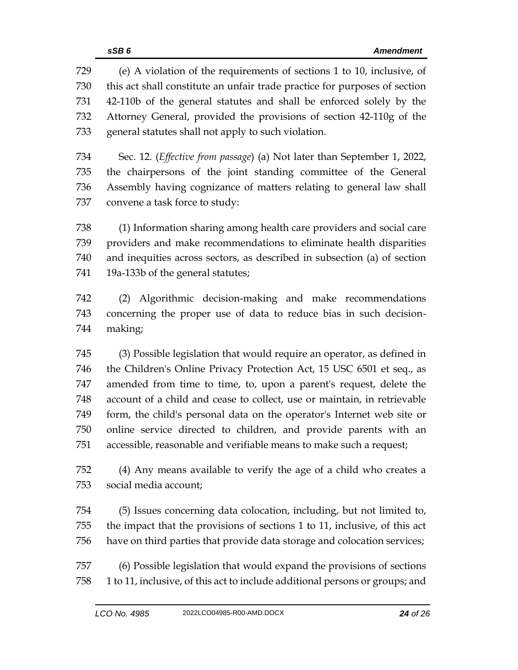(e) A violation of the requirements of sections 1 to 10, inclusive, of this act shall constitute an unfair trade practice for purposes of section 42-110b of the general statutes and shall be enforced solely by the Attorney General, provided the provisions of section 42-110g of the general statutes shall not apply to such violation.

 Sec. 12. (*Effective from passage*) (a) Not later than September 1, 2022, the chairpersons of the joint standing committee of the General Assembly having cognizance of matters relating to general law shall convene a task force to study:

 (1) Information sharing among health care providers and social care providers and make recommendations to eliminate health disparities and inequities across sectors, as described in subsection (a) of section 19a-133b of the general statutes;

 (2) Algorithmic decision-making and make recommendations concerning the proper use of data to reduce bias in such decision-making;

 (3) Possible legislation that would require an operator, as defined in the Children's Online Privacy Protection Act, 15 USC 6501 et seq., as amended from time to time, to, upon a parent's request, delete the account of a child and cease to collect, use or maintain, in retrievable form, the child's personal data on the operator's Internet web site or online service directed to children, and provide parents with an accessible, reasonable and verifiable means to make such a request;

 (4) Any means available to verify the age of a child who creates a social media account;

 (5) Issues concerning data colocation, including, but not limited to, the impact that the provisions of sections 1 to 11, inclusive, of this act have on third parties that provide data storage and colocation services;

 (6) Possible legislation that would expand the provisions of sections 1 to 11, inclusive, of this act to include additional persons or groups; and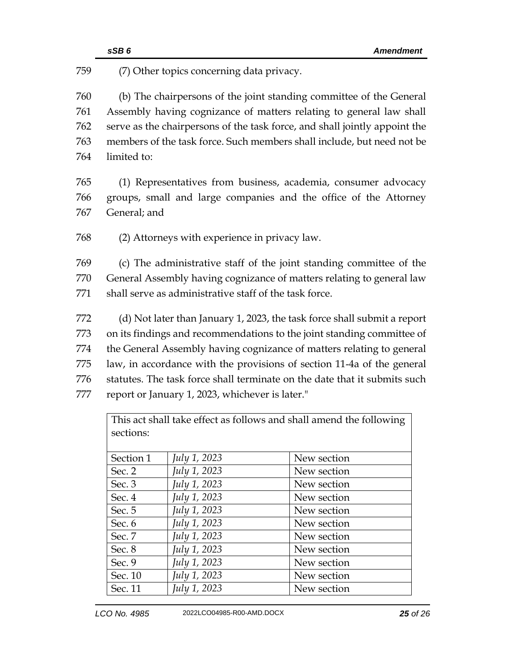|     | SSB6         |                                                        | <b>Amendment</b>                                                           |  |
|-----|--------------|--------------------------------------------------------|----------------------------------------------------------------------------|--|
| 759 |              | (7) Other topics concerning data privacy.              |                                                                            |  |
| 760 |              |                                                        | (b) The chairpersons of the joint standing committee of the General        |  |
| 761 |              |                                                        | Assembly having cognizance of matters relating to general law shall        |  |
| 762 |              |                                                        | serve as the chairpersons of the task force, and shall jointly appoint the |  |
| 763 |              |                                                        | members of the task force. Such members shall include, but need not be     |  |
| 764 | limited to:  |                                                        |                                                                            |  |
| 765 |              |                                                        | (1) Representatives from business, academia, consumer advocacy             |  |
| 766 |              |                                                        | groups, small and large companies and the office of the Attorney           |  |
| 767 | General; and |                                                        |                                                                            |  |
| 768 |              | (2) Attorneys with experience in privacy law.          |                                                                            |  |
| 769 |              |                                                        | (c) The administrative staff of the joint standing committee of the        |  |
| 770 |              |                                                        | General Assembly having cognizance of matters relating to general law      |  |
| 771 |              | shall serve as administrative staff of the task force. |                                                                            |  |
| 772 |              |                                                        | (d) Not later than January 1, 2023, the task force shall submit a report   |  |
| 773 |              |                                                        | on its findings and recommendations to the joint standing committee of     |  |
| 774 |              |                                                        | the General Assembly having cognizance of matters relating to general      |  |
| 775 |              |                                                        | law, in accordance with the provisions of section 11-4a of the general     |  |
| 776 |              |                                                        | statutes. The task force shall terminate on the date that it submits such  |  |
| 777 |              | report or January 1, 2023, whichever is later."        |                                                                            |  |
|     | sections:    |                                                        | This act shall take effect as follows and shall amend the following        |  |
|     | Section 1    | July 1, 2023                                           | New section                                                                |  |

Sec. 2 *July 1, 2023* New section Sec. 3 *July 1, 2023* New section Sec. 4 *July 1, 2023* New section

Sec. 5 *July 1, 2023* New section<br>Sec. 6 *July 1, 2023* New section Sec. 6 *July 1, 2023* New section Sec. 7 *July 1, 2023* New section Sec. 8 *July 1, 2023* New section Sec. 9 *July 1, 2023* New section Sec. 10 *July 1, 2023* New section Sec. 11 *July 1, 2023* New section